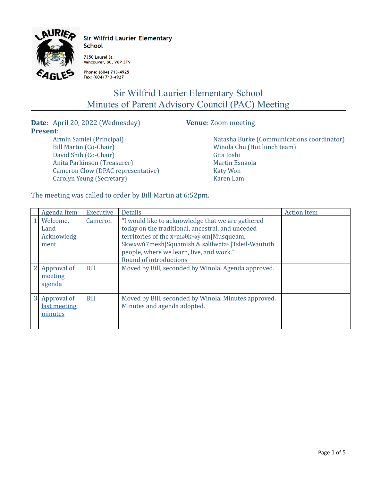

**Sir Wilfrid Laurier Elementary School** 

7350 Laurel St.<br>Vancouver, BC, V6P 3T9

Phone: (604) 713-4925 Fax: (604) 713-4927

## Sir Wilfrid Laurier Elementary School Minutes of Parent Advisory Council (PAC) Meeting

**Date**: April 20, 2022 (Wednesday) **Venue**: Zoom meeting **Present**: Armin Samiei (Principal)

Bill Martin (Co-Chair) David Shih (Co-Chair) Anita Parkinson (Treasurer)

Carolyn Yeung (Secretary)

Natasha Burke (Communications coordinator) Winola Chu (Hot lunch team) Gita Joshi Martin Esnaola Katy Won Karen Lam

The meeting was called to order by Bill Martin at 6:52pm.

Cameron Clow (DPAC representative)

|                | Agenda Item                            | Executive   | <b>Details</b>                                                                                                                                                                                                                                                                                               | <b>Action Item</b> |
|----------------|----------------------------------------|-------------|--------------------------------------------------------------------------------------------------------------------------------------------------------------------------------------------------------------------------------------------------------------------------------------------------------------|--------------------|
|                | Welcome,<br>Land<br>Acknowledg<br>ment | Cameron     | "I would like to acknowledge that we are gathered<br>today on the traditional, ancestral, and unceded<br>territories of the $x^w$ mə $\theta$ k $^w$ ə $\dot{y}$ əm $ M$ usqueam,<br>Skwxwú7mesh Squamish & səlilwətał  Tsleil-Waututh<br>people, where we learn, live, and work."<br>Round of introductions |                    |
|                | Approval of<br>meeting<br>agenda       | <b>Bill</b> | Moved by Bill, seconded by Winola. Agenda approved.                                                                                                                                                                                                                                                          |                    |
| 3 <sup>1</sup> | Approval of<br>last meeting<br>minutes | <b>Bill</b> | Moved by Bill, seconded by Winola. Minutes approved.<br>Minutes and agenda adopted.                                                                                                                                                                                                                          |                    |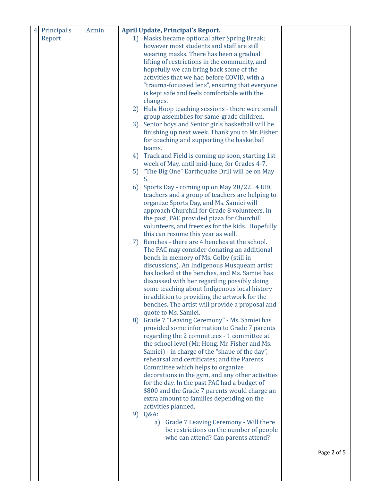| Principal's<br>$\overline{4}$ | Armin |         | <b>April Update, Principal's Report.</b>                                                         |             |
|-------------------------------|-------|---------|--------------------------------------------------------------------------------------------------|-------------|
| Report                        |       |         | 1) Masks became optional after Spring Break;                                                     |             |
|                               |       |         | however most students and staff are still                                                        |             |
|                               |       |         | wearing masks. There has been a gradual                                                          |             |
|                               |       |         | lifting of restrictions in the community, and                                                    |             |
|                               |       |         | hopefully we can bring back some of the                                                          |             |
|                               |       |         | activities that we had before COVID, with a                                                      |             |
|                               |       |         | "trauma-focussed lens", ensuring that everyone                                                   |             |
|                               |       |         | is kept safe and feels comfortable with the                                                      |             |
|                               |       |         | changes.                                                                                         |             |
|                               |       |         | 2) Hula Hoop teaching sessions - there were small                                                |             |
|                               |       |         | group assemblies for same-grade children.                                                        |             |
|                               |       | 3)      | Senior boys and Senior girls basketball will be                                                  |             |
|                               |       |         | finishing up next week. Thank you to Mr. Fisher                                                  |             |
|                               |       |         | for coaching and supporting the basketball                                                       |             |
|                               |       |         | teams.                                                                                           |             |
|                               |       |         | 4) Track and Field is coming up soon, starting 1st                                               |             |
|                               |       |         | week of May, until mid-June, for Grades 4-7.                                                     |             |
|                               |       |         | 5) "The Big One" Earthquake Drill will be on May                                                 |             |
|                               |       | 5.      |                                                                                                  |             |
|                               |       | 6)      | Sports Day - coming up on May 20/22.4 UBC<br>teachers and a group of teachers are helping to     |             |
|                               |       |         | organize Sports Day, and Ms. Samiei will                                                         |             |
|                               |       |         | approach Churchill for Grade 8 volunteers. In                                                    |             |
|                               |       |         | the past, PAC provided pizza for Churchill                                                       |             |
|                               |       |         | volunteers, and freezies for the kids. Hopefully                                                 |             |
|                               |       |         | this can resume this year as well.                                                               |             |
|                               |       | 7)      | Benches - there are 4 benches at the school.                                                     |             |
|                               |       |         | The PAC may consider donating an additional                                                      |             |
|                               |       |         | bench in memory of Ms. Golby (still in                                                           |             |
|                               |       |         | discussions). An Indigenous Musqueam artist                                                      |             |
|                               |       |         | has looked at the benches, and Ms. Samiei has                                                    |             |
|                               |       |         | discussed with her regarding possibly doing                                                      |             |
|                               |       |         | some teaching about Indigenous local history                                                     |             |
|                               |       |         | in addition to providing the artwork for the                                                     |             |
|                               |       |         | benches. The artist will provide a proposal and                                                  |             |
|                               |       |         | quote to Ms. Samiei.                                                                             |             |
|                               |       |         | 8) Grade 7 "Leaving Ceremony" - Ms. Samiei has                                                   |             |
|                               |       |         | provided some information to Grade 7 parents                                                     |             |
|                               |       |         | regarding the 2 committees - 1 committee at                                                      |             |
|                               |       |         | the school level (Mr. Hong, Mr. Fisher and Ms.                                                   |             |
|                               |       |         | Samiei) - in charge of the "shape of the day",                                                   |             |
|                               |       |         | rehearsal and certificates; and the Parents                                                      |             |
|                               |       |         | Committee which helps to organize                                                                |             |
|                               |       |         | decorations in the gym, and any other activities<br>for the day. In the past PAC had a budget of |             |
|                               |       |         | \$800 and the Grade 7 parents would charge an                                                    |             |
|                               |       |         | extra amount to families depending on the                                                        |             |
|                               |       |         | activities planned.                                                                              |             |
|                               |       | 9) Q&A: |                                                                                                  |             |
|                               |       |         | a) Grade 7 Leaving Ceremony - Will there                                                         |             |
|                               |       |         | be restrictions on the number of people                                                          |             |
|                               |       |         | who can attend? Can parents attend?                                                              |             |
|                               |       |         |                                                                                                  |             |
|                               |       |         |                                                                                                  | Page 2 of 5 |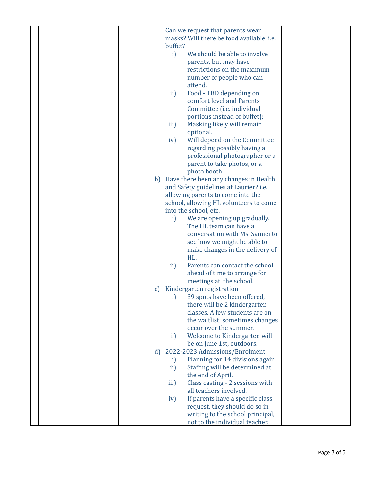| Can we request that parents wear          |
|-------------------------------------------|
| masks? Will there be food available, i.e. |
| buffet?                                   |
| i)<br>We should be able to involve        |
| parents, but may have                     |
| restrictions on the maximum               |
| number of people who can                  |
| attend.                                   |
|                                           |
| Food - TBD depending on<br>ii)            |
| comfort level and Parents                 |
| Committee (i.e. individual                |
| portions instead of buffet);              |
| Masking likely will remain<br>iii)        |
| optional.                                 |
| Will depend on the Committee<br>iv)       |
| regarding possibly having a               |
| professional photographer or a            |
| parent to take photos, or a               |
| photo booth.                              |
| b) Have there been any changes in Health  |
| and Safety guidelines at Laurier? i.e.    |
| allowing parents to come into the         |
| school, allowing HL volunteers to come    |
| into the school, etc.                     |
| i)<br>We are opening up gradually.        |
| The HL team can have a                    |
| conversation with Ms. Samiei to           |
| see how we might be able to               |
| make changes in the delivery of           |
| HL.                                       |
| Parents can contact the school<br>ii)     |
| ahead of time to arrange for              |
| meetings at the school.                   |
| Kindergarten registration<br>$\mathbf{C}$ |
| i) 39 spots have been offered,            |
| there will be 2 kindergarten              |
| classes. A few students are on            |
| the waitlist; sometimes changes           |
| occur over the summer.                    |
| Welcome to Kindergarten will<br>ii)       |
| be on June 1st, outdoors.                 |
| 2022-2023 Admissions/Enrolment<br>d)      |
| Planning for 14 divisions again<br>i)     |
| Staffing will be determined at<br>ii)     |
| the end of April.                         |
| Class casting - 2 sessions with<br>iii)   |
| all teachers involved.                    |
| If parents have a specific class<br>iv)   |
| request, they should do so in             |
| writing to the school principal,          |
| not to the individual teacher.            |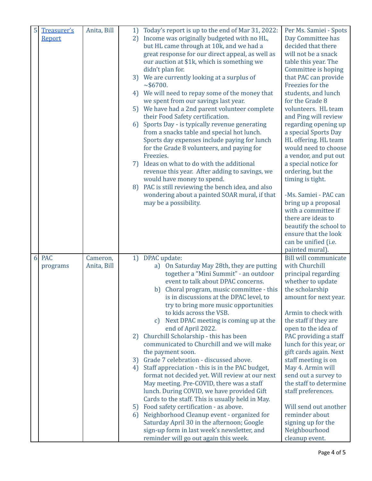| 5               | Treasurer's<br>Report  | Anita, Bill             | 2)<br>4)<br>6)<br>7)<br>8) | 1) Today's report is up to the end of Mar 31, 2022:<br>Income was originally budgeted with no HL,<br>but HL came through at 10k, and we had a<br>great response for our direct appeal, as well as<br>our auction at \$1k, which is something we<br>didn't plan for.<br>3) We are currently looking at a surplus of<br>~1.56700.<br>We will need to repay some of the money that<br>we spent from our savings last year.<br>5) We have had a 2nd parent volunteer complete<br>their Food Safety certification.<br>Sports Day - is typically revenue generating<br>from a snacks table and special hot lunch.<br>Sports day expenses include paying for lunch<br>for the Grade 8 volunteers, and paying for<br>Freezies.<br>Ideas on what to do with the additional<br>revenue this year. After adding to savings, we<br>would have money to spend.<br>PAC is still reviewing the bench idea, and also<br>wondering about a painted SOAR mural, if that<br>may be a possibility.                                          | Per Ms. Samiei - Spots<br>Day Committee has<br>decided that there<br>will not be a snack<br>table this year. The<br>Committee is hoping<br>that PAC can provide<br>Freezies for the<br>students, and lunch<br>for the Grade 8<br>volunteers. HL team<br>and Ping will review<br>regarding opening up<br>a special Sports Day<br>HL offering. HL team<br>would need to choose<br>a vendor, and put out<br>a special notice for<br>ordering, but the<br>timing is tight.<br>-Ms. Samiei - PAC can<br>bring up a proposal<br>with a committee if<br>there are ideas to<br>beautify the school to<br>ensure that the look<br>can be unified (i.e. |
|-----------------|------------------------|-------------------------|----------------------------|-------------------------------------------------------------------------------------------------------------------------------------------------------------------------------------------------------------------------------------------------------------------------------------------------------------------------------------------------------------------------------------------------------------------------------------------------------------------------------------------------------------------------------------------------------------------------------------------------------------------------------------------------------------------------------------------------------------------------------------------------------------------------------------------------------------------------------------------------------------------------------------------------------------------------------------------------------------------------------------------------------------------------|-----------------------------------------------------------------------------------------------------------------------------------------------------------------------------------------------------------------------------------------------------------------------------------------------------------------------------------------------------------------------------------------------------------------------------------------------------------------------------------------------------------------------------------------------------------------------------------------------------------------------------------------------|
| $6\overline{)}$ | <b>PAC</b><br>programs | Cameron,<br>Anita, Bill | 2)<br>3)<br>4)             | 1) DPAC update:<br>a) On Saturday May 28th, they are putting<br>together a "Mini Summit" - an outdoor<br>event to talk about DPAC concerns.<br>b) Choral program, music committee - this<br>is in discussions at the DPAC level, to<br>try to bring more music opportunities<br>to kids across the VSB.<br>c) Next DPAC meeting is coming up at the<br>end of April 2022.<br>Churchill Scholarship - this has been<br>communicated to Churchill and we will make<br>the payment soon.<br>Grade 7 celebration - discussed above.<br>Staff appreciation - this is in the PAC budget,<br>format not decided yet. Will review at our next<br>May meeting. Pre-COVID, there was a staff<br>lunch. During COVID, we have provided Gift<br>Cards to the staff. This is usually held in May.<br>5) Food safety certification - as above.<br>6) Neighborhood Cleanup event - organized for<br>Saturday April 30 in the afternoon; Google<br>sign-up form in last week's newsletter, and<br>reminder will go out again this week. | painted mural)<br><b>Bill will communicate</b><br>with Churchill<br>principal regarding<br>whether to update<br>the scholarship<br>amount for next year.<br>Armin to check with<br>the staff if they are<br>open to the idea of<br>PAC providing a staff<br>lunch for this year, or<br>gift cards again. Next<br>staff meeting is on<br>May 4. Armin will<br>send out a survey to<br>the staff to determine<br>staff preferences.<br>Will send out another<br>reminder about<br>signing up for the<br>Neighbourhood<br>cleanup event.                                                                                                         |